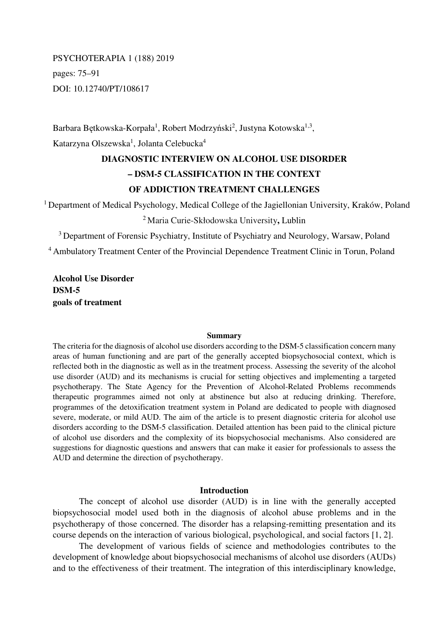# PSYCHOTERAPIA 1 (188) 2019 pages: 75–91 DOI: 10.12740/PT/108617

Barbara Bętkowska-Korpała<sup>1</sup>, Robert Modrzyński<sup>2</sup>, Justyna Kotowska<sup>1,3</sup>, Katarzyna Olszewska<sup>1</sup>, Jolanta Celebucka<sup>4</sup>

# **DIAGNOSTIC INTERVIEW ON ALCOHOL USE DISORDER – DSM-5 CLASSIFICATION IN THE CONTEXT OF ADDICTION TREATMENT CHALLENGES**

<sup>1</sup> Department of Medical Psychology, Medical College of the Jagiellonian University, Kraków, Poland

## <sup>2</sup>Maria Curie-Skłodowska University**,** Lublin

<sup>3</sup> Department of Forensic Psychiatry, Institute of Psychiatry and Neurology, Warsaw, Poland <sup>4</sup>Ambulatory Treatment Center of the Provincial Dependence Treatment Clinic in Torun, Poland

**Alcohol Use Disorder DSM-5 goals of treatment** 

#### **Summary**

The criteria for the diagnosis of alcohol use disorders according to the DSM-5 classification concern many areas of human functioning and are part of the generally accepted biopsychosocial context, which is reflected both in the diagnostic as well as in the treatment process. Assessing the severity of the alcohol use disorder (AUD) and its mechanisms is crucial for setting objectives and implementing a targeted psychotherapy. The State Agency for the Prevention of Alcohol-Related Problems recommends therapeutic programmes aimed not only at abstinence but also at reducing drinking. Therefore, programmes of the detoxification treatment system in Poland are dedicated to people with diagnosed severe, moderate, or mild AUD. The aim of the article is to present diagnostic criteria for alcohol use disorders according to the DSM-5 classification. Detailed attention has been paid to the clinical picture of alcohol use disorders and the complexity of its biopsychosocial mechanisms. Also considered are suggestions for diagnostic questions and answers that can make it easier for professionals to assess the AUD and determine the direction of psychotherapy.

#### **Introduction**

The concept of alcohol use disorder (AUD) is in line with the generally accepted biopsychosocial model used both in the diagnosis of alcohol abuse problems and in the psychotherapy of those concerned. The disorder has a relapsing-remitting presentation and its course depends on the interaction of various biological, psychological, and social factors [1, 2].

The development of various fields of science and methodologies contributes to the development of knowledge about biopsychosocial mechanisms of alcohol use disorders (AUDs) and to the effectiveness of their treatment. The integration of this interdisciplinary knowledge,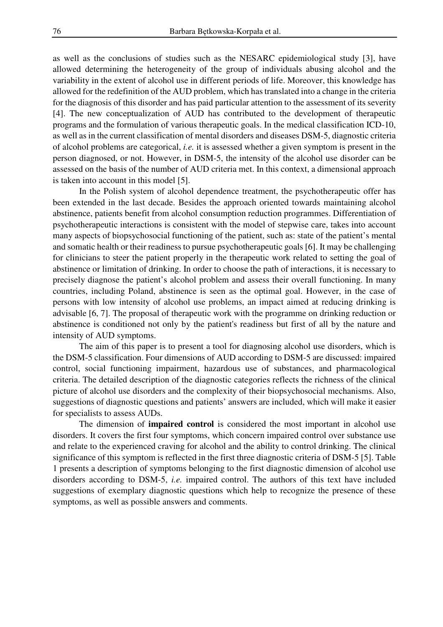as well as the conclusions of studies such as the NESARC epidemiological study [3], have allowed determining the heterogeneity of the group of individuals abusing alcohol and the variability in the extent of alcohol use in different periods of life. Moreover, this knowledge has allowed for the redefinition of the AUD problem, which has translated into a change in the criteria for the diagnosis of this disorder and has paid particular attention to the assessment of its severity [4]. The new conceptualization of AUD has contributed to the development of therapeutic programs and the formulation of various therapeutic goals. In the medical classification ICD-10, as well as in the current classification of mental disorders and diseases DSM-5, diagnostic criteria of alcohol problems are categorical, *i.e.* it is assessed whether a given symptom is present in the person diagnosed, or not. However, in DSM-5, the intensity of the alcohol use disorder can be assessed on the basis of the number of AUD criteria met. In this context, a dimensional approach is taken into account in this model [5].

In the Polish system of alcohol dependence treatment, the psychotherapeutic offer has been extended in the last decade. Besides the approach oriented towards maintaining alcohol abstinence, patients benefit from alcohol consumption reduction programmes. Differentiation of psychotherapeutic interactions is consistent with the model of stepwise care, takes into account many aspects of biopsychosocial functioning of the patient, such as: state of the patient's mental and somatic health or their readiness to pursue psychotherapeutic goals [6]. It may be challenging for clinicians to steer the patient properly in the therapeutic work related to setting the goal of abstinence or limitation of drinking. In order to choose the path of interactions, it is necessary to precisely diagnose the patient's alcohol problem and assess their overall functioning. In many countries, including Poland, abstinence is seen as the optimal goal. However, in the case of persons with low intensity of alcohol use problems, an impact aimed at reducing drinking is advisable [6, 7]. The proposal of therapeutic work with the programme on drinking reduction or abstinence is conditioned not only by the patient's readiness but first of all by the nature and intensity of AUD symptoms.

The aim of this paper is to present a tool for diagnosing alcohol use disorders, which is the DSM-5 classification. Four dimensions of AUD according to DSM-5 are discussed: impaired control, social functioning impairment, hazardous use of substances, and pharmacological criteria. The detailed description of the diagnostic categories reflects the richness of the clinical picture of alcohol use disorders and the complexity of their biopsychosocial mechanisms. Also, suggestions of diagnostic questions and patients' answers are included, which will make it easier for specialists to assess AUDs.

The dimension of **impaired control** is considered the most important in alcohol use disorders. It covers the first four symptoms, which concern impaired control over substance use and relate to the experienced craving for alcohol and the ability to control drinking. The clinical significance of this symptom is reflected in the first three diagnostic criteria of DSM-5 [5]. Table 1 presents a description of symptoms belonging to the first diagnostic dimension of alcohol use disorders according to DSM-5, *i.e.* impaired control. The authors of this text have included suggestions of exemplary diagnostic questions which help to recognize the presence of these symptoms, as well as possible answers and comments.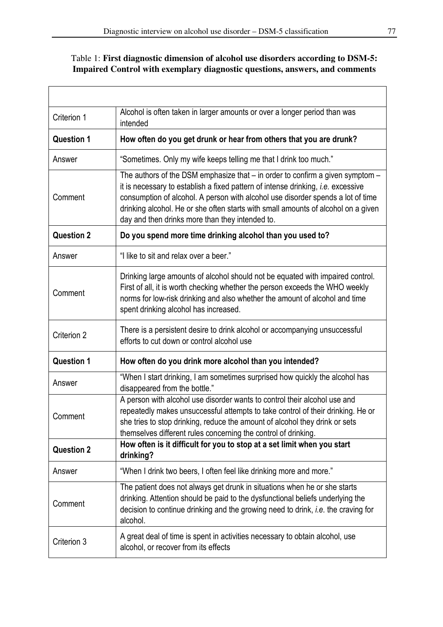$\overline{1}$ 

# Table 1: **First diagnostic dimension of alcohol use disorders according to DSM-5: Impaired Control with exemplary diagnostic questions, answers, and comments**

| Criterion 1       | Alcohol is often taken in larger amounts or over a longer period than was<br>intended                                                                                                                                                                                                                                                                                                                   |
|-------------------|---------------------------------------------------------------------------------------------------------------------------------------------------------------------------------------------------------------------------------------------------------------------------------------------------------------------------------------------------------------------------------------------------------|
| <b>Question 1</b> | How often do you get drunk or hear from others that you are drunk?                                                                                                                                                                                                                                                                                                                                      |
| Answer            | "Sometimes. Only my wife keeps telling me that I drink too much."                                                                                                                                                                                                                                                                                                                                       |
| Comment           | The authors of the DSM emphasize that $-$ in order to confirm a given symptom $-$<br>it is necessary to establish a fixed pattern of intense drinking, <i>i.e.</i> excessive<br>consumption of alcohol. A person with alcohol use disorder spends a lot of time<br>drinking alcohol. He or she often starts with small amounts of alcohol on a given<br>day and then drinks more than they intended to. |
| <b>Question 2</b> | Do you spend more time drinking alcohol than you used to?                                                                                                                                                                                                                                                                                                                                               |
| Answer            | "I like to sit and relax over a beer."                                                                                                                                                                                                                                                                                                                                                                  |
| Comment           | Drinking large amounts of alcohol should not be equated with impaired control.<br>First of all, it is worth checking whether the person exceeds the WHO weekly<br>norms for low-risk drinking and also whether the amount of alcohol and time<br>spent drinking alcohol has increased.                                                                                                                  |
| Criterion 2       | There is a persistent desire to drink alcohol or accompanying unsuccessful<br>efforts to cut down or control alcohol use                                                                                                                                                                                                                                                                                |
| <b>Question 1</b> | How often do you drink more alcohol than you intended?                                                                                                                                                                                                                                                                                                                                                  |
| Answer            | "When I start drinking, I am sometimes surprised how quickly the alcohol has<br>disappeared from the bottle."                                                                                                                                                                                                                                                                                           |
| Comment           | A person with alcohol use disorder wants to control their alcohol use and<br>repeatedly makes unsuccessful attempts to take control of their drinking. He or<br>she tries to stop drinking, reduce the amount of alcohol they drink or sets<br>themselves different rules concerning the control of drinking.                                                                                           |
| <b>Question 2</b> | How often is it difficult for you to stop at a set limit when you start<br>drinking?                                                                                                                                                                                                                                                                                                                    |
| Answer            | "When I drink two beers, I often feel like drinking more and more."                                                                                                                                                                                                                                                                                                                                     |
| Comment           | The patient does not always get drunk in situations when he or she starts<br>drinking. Attention should be paid to the dysfunctional beliefs underlying the<br>decision to continue drinking and the growing need to drink, <i>i.e.</i> the craving for<br>alcohol.                                                                                                                                     |
| Criterion 3       | A great deal of time is spent in activities necessary to obtain alcohol, use<br>alcohol, or recover from its effects                                                                                                                                                                                                                                                                                    |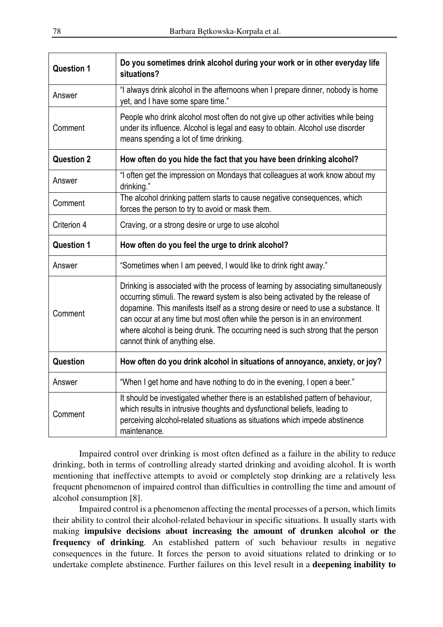| <b>Question 1</b> | Do you sometimes drink alcohol during your work or in other everyday life<br>situations?                                                                                                                                                                                                                                                                                                                                                                    |
|-------------------|-------------------------------------------------------------------------------------------------------------------------------------------------------------------------------------------------------------------------------------------------------------------------------------------------------------------------------------------------------------------------------------------------------------------------------------------------------------|
| Answer            | "I always drink alcohol in the afternoons when I prepare dinner, nobody is home<br>yet, and I have some spare time."                                                                                                                                                                                                                                                                                                                                        |
| Comment           | People who drink alcohol most often do not give up other activities while being<br>under its influence. Alcohol is legal and easy to obtain. Alcohol use disorder<br>means spending a lot of time drinking.                                                                                                                                                                                                                                                 |
| <b>Question 2</b> | How often do you hide the fact that you have been drinking alcohol?                                                                                                                                                                                                                                                                                                                                                                                         |
| Answer            | "I often get the impression on Mondays that colleagues at work know about my<br>drinking."                                                                                                                                                                                                                                                                                                                                                                  |
| Comment           | The alcohol drinking pattern starts to cause negative consequences, which<br>forces the person to try to avoid or mask them.                                                                                                                                                                                                                                                                                                                                |
| Criterion 4       | Craving, or a strong desire or urge to use alcohol                                                                                                                                                                                                                                                                                                                                                                                                          |
| <b>Question 1</b> | How often do you feel the urge to drink alcohol?                                                                                                                                                                                                                                                                                                                                                                                                            |
| Answer            | "Sometimes when I am peeved, I would like to drink right away."                                                                                                                                                                                                                                                                                                                                                                                             |
| Comment           | Drinking is associated with the process of learning by associating simultaneously<br>occurring stimuli. The reward system is also being activated by the release of<br>dopamine. This manifests itself as a strong desire or need to use a substance. It<br>can occur at any time but most often while the person is in an environment<br>where alcohol is being drunk. The occurring need is such strong that the person<br>cannot think of anything else. |
| Question          | How often do you drink alcohol in situations of annoyance, anxiety, or joy?                                                                                                                                                                                                                                                                                                                                                                                 |
| Answer            | "When I get home and have nothing to do in the evening, I open a beer."                                                                                                                                                                                                                                                                                                                                                                                     |
| Comment           | It should be investigated whether there is an established pattern of behaviour,<br>which results in intrusive thoughts and dysfunctional beliefs, leading to<br>perceiving alcohol-related situations as situations which impede abstinence<br>maintenance.                                                                                                                                                                                                 |

Impaired control over drinking is most often defined as a failure in the ability to reduce drinking, both in terms of controlling already started drinking and avoiding alcohol. It is worth mentioning that ineffective attempts to avoid or completely stop drinking are a relatively less frequent phenomenon of impaired control than difficulties in controlling the time and amount of alcohol consumption [8].

Impaired control is a phenomenon affecting the mental processes of a person, which limits their ability to control their alcohol-related behaviour in specific situations. It usually starts with making **impulsive decisions about increasing the amount of drunken alcohol or the frequency of drinking**. An established pattern of such behaviour results in negative consequences in the future. It forces the person to avoid situations related to drinking or to undertake complete abstinence. Further failures on this level result in a **deepening inability to**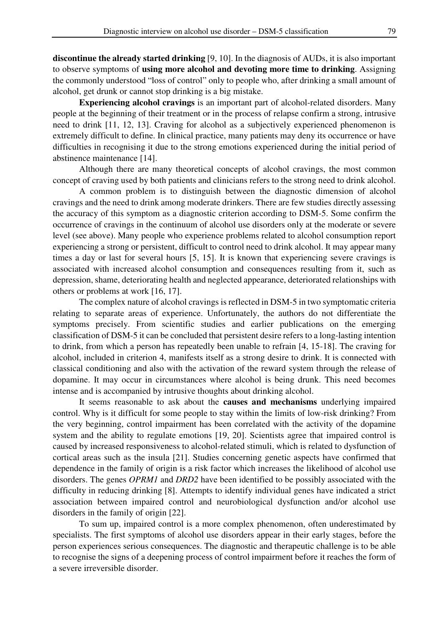**discontinue the already started drinking** [9, 10]. In the diagnosis of AUDs, it is also important to observe symptoms of **using more alcohol and devoting more time to drinking**. Assigning the commonly understood "loss of control" only to people who, after drinking a small amount of alcohol, get drunk or cannot stop drinking is a big mistake.

**Experiencing alcohol cravings** is an important part of alcohol-related disorders. Many people at the beginning of their treatment or in the process of relapse confirm a strong, intrusive need to drink [11, 12, 13]. Craving for alcohol as a subjectively experienced phenomenon is extremely difficult to define. In clinical practice, many patients may deny its occurrence or have difficulties in recognising it due to the strong emotions experienced during the initial period of abstinence maintenance [14].

Although there are many theoretical concepts of alcohol cravings, the most common concept of craving used by both patients and clinicians refers to the strong need to drink alcohol.

A common problem is to distinguish between the diagnostic dimension of alcohol cravings and the need to drink among moderate drinkers. There are few studies directly assessing the accuracy of this symptom as a diagnostic criterion according to DSM-5. Some confirm the occurrence of cravings in the continuum of alcohol use disorders only at the moderate or severe level (see above). Many people who experience problems related to alcohol consumption report experiencing a strong or persistent, difficult to control need to drink alcohol. It may appear many times a day or last for several hours [5, 15]. It is known that experiencing severe cravings is associated with increased alcohol consumption and consequences resulting from it, such as depression, shame, deteriorating health and neglected appearance, deteriorated relationships with others or problems at work [16, 17].

The complex nature of alcohol cravings is reflected in DSM-5 in two symptomatic criteria relating to separate areas of experience. Unfortunately, the authors do not differentiate the symptoms precisely. From scientific studies and earlier publications on the emerging classification of DSM-5 it can be concluded that persistent desire refers to a long-lasting intention to drink, from which a person has repeatedly been unable to refrain [4, 15-18]. The craving for alcohol, included in criterion 4, manifests itself as a strong desire to drink. It is connected with classical conditioning and also with the activation of the reward system through the release of dopamine. It may occur in circumstances where alcohol is being drunk. This need becomes intense and is accompanied by intrusive thoughts about drinking alcohol.

It seems reasonable to ask about the **causes and mechanisms** underlying impaired control. Why is it difficult for some people to stay within the limits of low-risk drinking? From the very beginning, control impairment has been correlated with the activity of the dopamine system and the ability to regulate emotions [19, 20]. Scientists agree that impaired control is caused by increased responsiveness to alcohol-related stimuli, which is related to dysfunction of cortical areas such as the insula [21]. Studies concerning genetic aspects have confirmed that dependence in the family of origin is a risk factor which increases the likelihood of alcohol use disorders. The genes *OPRM1* and *DRD2* have been identified to be possibly associated with the difficulty in reducing drinking [8]. Attempts to identify individual genes have indicated a strict association between impaired control and neurobiological dysfunction and/or alcohol use disorders in the family of origin [22].

To sum up, impaired control is a more complex phenomenon, often underestimated by specialists. The first symptoms of alcohol use disorders appear in their early stages, before the person experiences serious consequences. The diagnostic and therapeutic challenge is to be able to recognise the signs of a deepening process of control impairment before it reaches the form of a severe irreversible disorder.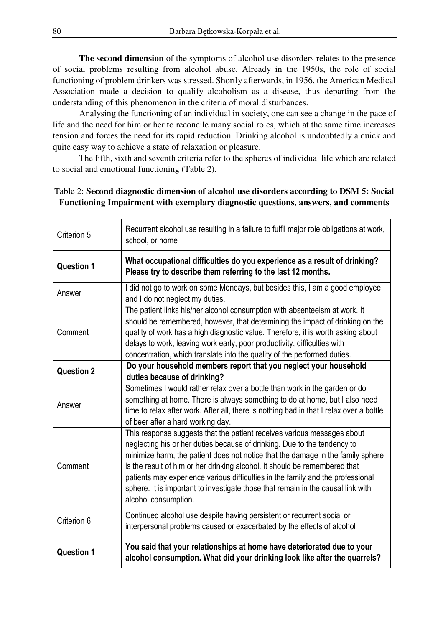**The second dimension** of the symptoms of alcohol use disorders relates to the presence of social problems resulting from alcohol abuse. Already in the 1950s, the role of social functioning of problem drinkers was stressed. Shortly afterwards, in 1956, the American Medical Association made a decision to qualify alcoholism as a disease, thus departing from the understanding of this phenomenon in the criteria of moral disturbances.

Analysing the functioning of an individual in society, one can see a change in the pace of life and the need for him or her to reconcile many social roles, which at the same time increases tension and forces the need for its rapid reduction. Drinking alcohol is undoubtedly a quick and quite easy way to achieve a state of relaxation or pleasure.

The fifth, sixth and seventh criteria refer to the spheres of individual life which are related to social and emotional functioning (Table 2).

#### Table 2: **Second diagnostic dimension of alcohol use disorders according to DSM 5: Social Functioning Impairment with exemplary diagnostic questions, answers, and comments**

| Criterion 5       | Recurrent alcohol use resulting in a failure to fulfil major role obligations at work,<br>school, or home                                                                                                                                                                                                                                                                                                                                                                                                           |
|-------------------|---------------------------------------------------------------------------------------------------------------------------------------------------------------------------------------------------------------------------------------------------------------------------------------------------------------------------------------------------------------------------------------------------------------------------------------------------------------------------------------------------------------------|
| <b>Question 1</b> | What occupational difficulties do you experience as a result of drinking?<br>Please try to describe them referring to the last 12 months.                                                                                                                                                                                                                                                                                                                                                                           |
| Answer            | I did not go to work on some Mondays, but besides this, I am a good employee<br>and I do not neglect my duties.                                                                                                                                                                                                                                                                                                                                                                                                     |
| Comment           | The patient links his/her alcohol consumption with absenteeism at work. It<br>should be remembered, however, that determining the impact of drinking on the<br>quality of work has a high diagnostic value. Therefore, it is worth asking about<br>delays to work, leaving work early, poor productivity, difficulties with<br>concentration, which translate into the quality of the performed duties.                                                                                                             |
| <b>Question 2</b> | Do your household members report that you neglect your household<br>duties because of drinking?                                                                                                                                                                                                                                                                                                                                                                                                                     |
| Answer            | Sometimes I would rather relax over a bottle than work in the garden or do<br>something at home. There is always something to do at home, but I also need<br>time to relax after work. After all, there is nothing bad in that I relax over a bottle<br>of beer after a hard working day.                                                                                                                                                                                                                           |
| Comment           | This response suggests that the patient receives various messages about<br>neglecting his or her duties because of drinking. Due to the tendency to<br>minimize harm, the patient does not notice that the damage in the family sphere<br>is the result of him or her drinking alcohol. It should be remembered that<br>patients may experience various difficulties in the family and the professional<br>sphere. It is important to investigate those that remain in the causal link with<br>alcohol consumption. |
| Criterion 6       | Continued alcohol use despite having persistent or recurrent social or<br>interpersonal problems caused or exacerbated by the effects of alcohol                                                                                                                                                                                                                                                                                                                                                                    |
| <b>Question 1</b> | You said that your relationships at home have deteriorated due to your<br>alcohol consumption. What did your drinking look like after the quarrels?                                                                                                                                                                                                                                                                                                                                                                 |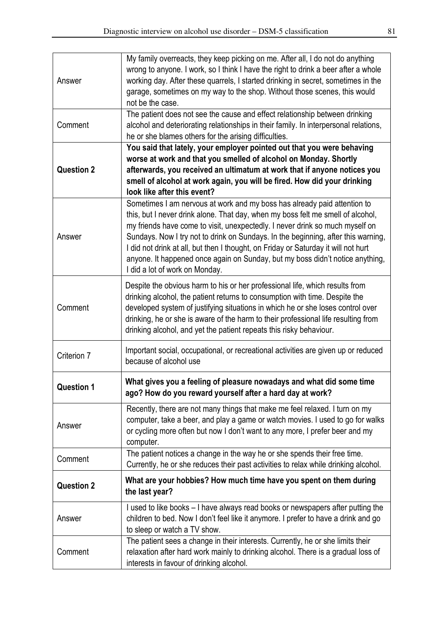| Answer            | My family overreacts, they keep picking on me. After all, I do not do anything<br>wrong to anyone. I work, so I think I have the right to drink a beer after a whole<br>working day. After these quarrels, I started drinking in secret, sometimes in the<br>garage, sometimes on my way to the shop. Without those scenes, this would<br>not be the case.                                                                                                                                                                                |
|-------------------|-------------------------------------------------------------------------------------------------------------------------------------------------------------------------------------------------------------------------------------------------------------------------------------------------------------------------------------------------------------------------------------------------------------------------------------------------------------------------------------------------------------------------------------------|
| Comment           | The patient does not see the cause and effect relationship between drinking<br>alcohol and deteriorating relationships in their family. In interpersonal relations,<br>he or she blames others for the arising difficulties.                                                                                                                                                                                                                                                                                                              |
| <b>Question 2</b> | You said that lately, your employer pointed out that you were behaving<br>worse at work and that you smelled of alcohol on Monday. Shortly<br>afterwards, you received an ultimatum at work that if anyone notices you<br>smell of alcohol at work again, you will be fired. How did your drinking<br>look like after this event?                                                                                                                                                                                                         |
| Answer            | Sometimes I am nervous at work and my boss has already paid attention to<br>this, but I never drink alone. That day, when my boss felt me smell of alcohol,<br>my friends have come to visit, unexpectedly. I never drink so much myself on<br>Sundays. Now I try not to drink on Sundays. In the beginning, after this warning,<br>I did not drink at all, but then I thought, on Friday or Saturday it will not hurt<br>anyone. It happened once again on Sunday, but my boss didn't notice anything,<br>I did a lot of work on Monday. |
| Comment           | Despite the obvious harm to his or her professional life, which results from<br>drinking alcohol, the patient returns to consumption with time. Despite the<br>developed system of justifying situations in which he or she loses control over<br>drinking, he or she is aware of the harm to their professional life resulting from<br>drinking alcohol, and yet the patient repeats this risky behaviour.                                                                                                                               |
| Criterion 7       | Important social, occupational, or recreational activities are given up or reduced<br>because of alcohol use                                                                                                                                                                                                                                                                                                                                                                                                                              |
| <b>Question 1</b> | What gives you a feeling of pleasure nowadays and what did some time<br>ago? How do you reward yourself after a hard day at work?                                                                                                                                                                                                                                                                                                                                                                                                         |
| Answer            | Recently, there are not many things that make me feel relaxed. I turn on my<br>computer, take a beer, and play a game or watch movies. I used to go for walks<br>or cycling more often but now I don't want to any more, I prefer beer and my<br>computer.                                                                                                                                                                                                                                                                                |
| Comment           | The patient notices a change in the way he or she spends their free time.<br>Currently, he or she reduces their past activities to relax while drinking alcohol.                                                                                                                                                                                                                                                                                                                                                                          |
| <b>Question 2</b> | What are your hobbies? How much time have you spent on them during<br>the last year?                                                                                                                                                                                                                                                                                                                                                                                                                                                      |
| Answer            | I used to like books - I have always read books or newspapers after putting the<br>children to bed. Now I don't feel like it anymore. I prefer to have a drink and go<br>to sleep or watch a TV show.                                                                                                                                                                                                                                                                                                                                     |
| Comment           | The patient sees a change in their interests. Currently, he or she limits their<br>relaxation after hard work mainly to drinking alcohol. There is a gradual loss of<br>interests in favour of drinking alcohol.                                                                                                                                                                                                                                                                                                                          |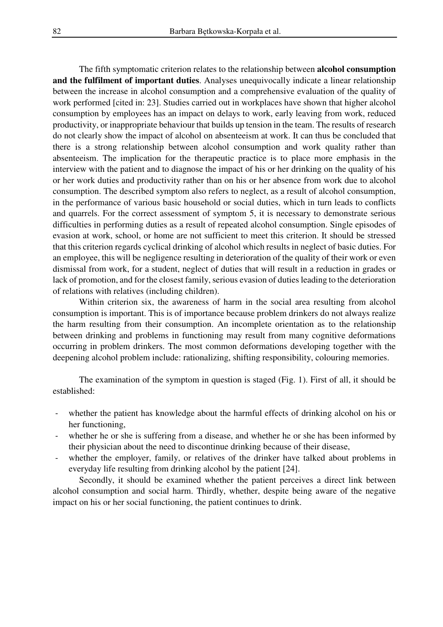The fifth symptomatic criterion relates to the relationship between **alcohol consumption and the fulfilment of important duties**. Analyses unequivocally indicate a linear relationship between the increase in alcohol consumption and a comprehensive evaluation of the quality of work performed [cited in: 23]. Studies carried out in workplaces have shown that higher alcohol consumption by employees has an impact on delays to work, early leaving from work, reduced productivity, or inappropriate behaviour that builds up tension in the team. The results of research do not clearly show the impact of alcohol on absenteeism at work. It can thus be concluded that there is a strong relationship between alcohol consumption and work quality rather than absenteeism. The implication for the therapeutic practice is to place more emphasis in the interview with the patient and to diagnose the impact of his or her drinking on the quality of his or her work duties and productivity rather than on his or her absence from work due to alcohol consumption. The described symptom also refers to neglect, as a result of alcohol consumption, in the performance of various basic household or social duties, which in turn leads to conflicts and quarrels. For the correct assessment of symptom 5, it is necessary to demonstrate serious difficulties in performing duties as a result of repeated alcohol consumption. Single episodes of evasion at work, school, or home are not sufficient to meet this criterion. It should be stressed that this criterion regards cyclical drinking of alcohol which results in neglect of basic duties. For an employee, this will be negligence resulting in deterioration of the quality of their work or even dismissal from work, for a student, neglect of duties that will result in a reduction in grades or lack of promotion, and for the closest family, serious evasion of duties leading to the deterioration of relations with relatives (including children).

Within criterion six, the awareness of harm in the social area resulting from alcohol consumption is important. This is of importance because problem drinkers do not always realize the harm resulting from their consumption. An incomplete orientation as to the relationship between drinking and problems in functioning may result from many cognitive deformations occurring in problem drinkers. The most common deformations developing together with the deepening alcohol problem include: rationalizing, shifting responsibility, colouring memories.

The examination of the symptom in question is staged (Fig. 1). First of all, it should be established:

- whether the patient has knowledge about the harmful effects of drinking alcohol on his or her functioning,
- whether he or she is suffering from a disease, and whether he or she has been informed by their physician about the need to discontinue drinking because of their disease,
- whether the employer, family, or relatives of the drinker have talked about problems in everyday life resulting from drinking alcohol by the patient [24].

Secondly, it should be examined whether the patient perceives a direct link between alcohol consumption and social harm. Thirdly, whether, despite being aware of the negative impact on his or her social functioning, the patient continues to drink.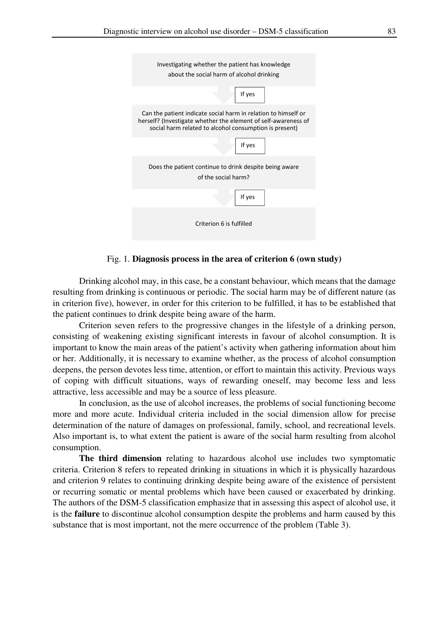| Investigating whether the patient has knowledge<br>about the social harm of alcohol drinking                                                                                               |
|--------------------------------------------------------------------------------------------------------------------------------------------------------------------------------------------|
| If yes                                                                                                                                                                                     |
| Can the patient indicate social harm in relation to himself or<br>herself? (Investigate whether the element of self-awareness of<br>social harm related to alcohol consumption is present) |
| If yes                                                                                                                                                                                     |
| Does the patient continue to drink despite being aware<br>of the social harm?                                                                                                              |
| If yes                                                                                                                                                                                     |
| Criterion 6 is fulfilled                                                                                                                                                                   |

Fig. 1. **Diagnosis process in the area of criterion 6 (own study)**

Drinking alcohol may, in this case, be a constant behaviour, which means that the damage resulting from drinking is continuous or periodic. The social harm may be of different nature (as in criterion five), however, in order for this criterion to be fulfilled, it has to be established that the patient continues to drink despite being aware of the harm.

Criterion seven refers to the progressive changes in the lifestyle of a drinking person, consisting of weakening existing significant interests in favour of alcohol consumption. It is important to know the main areas of the patient's activity when gathering information about him or her. Additionally, it is necessary to examine whether, as the process of alcohol consumption deepens, the person devotes less time, attention, or effort to maintain this activity. Previous ways of coping with difficult situations, ways of rewarding oneself, may become less and less attractive, less accessible and may be a source of less pleasure.

In conclusion, as the use of alcohol increases, the problems of social functioning become more and more acute. Individual criteria included in the social dimension allow for precise determination of the nature of damages on professional, family, school, and recreational levels. Also important is, to what extent the patient is aware of the social harm resulting from alcohol consumption.

**The third dimension** relating to hazardous alcohol use includes two symptomatic criteria. Criterion 8 refers to repeated drinking in situations in which it is physically hazardous and criterion 9 relates to continuing drinking despite being aware of the existence of persistent or recurring somatic or mental problems which have been caused or exacerbated by drinking. The authors of the DSM-5 classification emphasize that in assessing this aspect of alcohol use, it is the **failure** to discontinue alcohol consumption despite the problems and harm caused by this substance that is most important, not the mere occurrence of the problem (Table 3).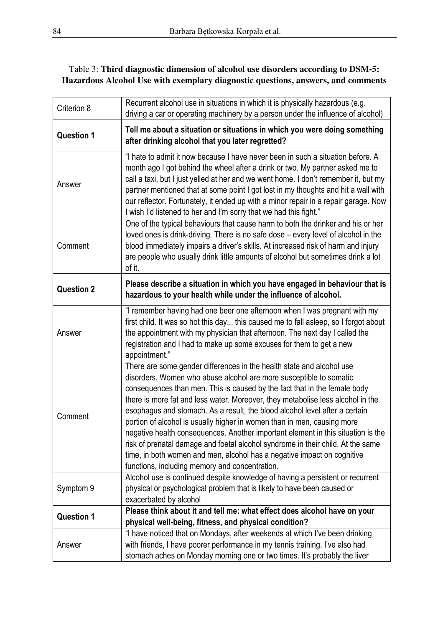## Table 3: **Third diagnostic dimension of alcohol use disorders according to DSM-5: Hazardous Alcohol Use with exemplary diagnostic questions, answers, and comments**

| Criterion 8       | Recurrent alcohol use in situations in which it is physically hazardous (e.g.<br>driving a car or operating machinery by a person under the influence of alcohol)                                                                                                                                                                                                                                                                                                                                                                                                                                                                                                                                                                                                         |
|-------------------|---------------------------------------------------------------------------------------------------------------------------------------------------------------------------------------------------------------------------------------------------------------------------------------------------------------------------------------------------------------------------------------------------------------------------------------------------------------------------------------------------------------------------------------------------------------------------------------------------------------------------------------------------------------------------------------------------------------------------------------------------------------------------|
| <b>Question 1</b> | Tell me about a situation or situations in which you were doing something<br>after drinking alcohol that you later regretted?                                                                                                                                                                                                                                                                                                                                                                                                                                                                                                                                                                                                                                             |
| Answer            | "I hate to admit it now because I have never been in such a situation before. A<br>month ago I got behind the wheel after a drink or two. My partner asked me to<br>call a taxi, but I just yelled at her and we went home. I don't remember it, but my<br>partner mentioned that at some point I got lost in my thoughts and hit a wall with<br>our reflector. Fortunately, it ended up with a minor repair in a repair garage. Now<br>I wish I'd listened to her and I'm sorry that we had this fight."                                                                                                                                                                                                                                                                 |
| Comment           | One of the typical behaviours that cause harm to both the drinker and his or her<br>loved ones is drink-driving. There is no safe dose - every level of alcohol in the<br>blood immediately impairs a driver's skills. At increased risk of harm and injury<br>are people who usually drink little amounts of alcohol but sometimes drink a lot<br>of it.                                                                                                                                                                                                                                                                                                                                                                                                                 |
| <b>Question 2</b> | Please describe a situation in which you have engaged in behaviour that is<br>hazardous to your health while under the influence of alcohol.                                                                                                                                                                                                                                                                                                                                                                                                                                                                                                                                                                                                                              |
| Answer            | "I remember having had one beer one afternoon when I was pregnant with my<br>first child. It was so hot this day this caused me to fall asleep, so I forgot about<br>the appointment with my physician that afternoon. The next day I called the<br>registration and I had to make up some excuses for them to get a new<br>appointment."                                                                                                                                                                                                                                                                                                                                                                                                                                 |
| Comment           | There are some gender differences in the health state and alcohol use<br>disorders. Women who abuse alcohol are more susceptible to somatic<br>consequences than men. This is caused by the fact that in the female body<br>there is more fat and less water. Moreover, they metabolise less alcohol in the<br>esophagus and stomach. As a result, the blood alcohol level after a certain<br>portion of alcohol is usually higher in women than in men, causing more<br>negative health consequences. Another important element in this situation is the<br>risk of prenatal damage and foetal alcohol syndrome in their child. At the same<br>time, in both women and men, alcohol has a negative impact on cognitive<br>functions, including memory and concentration. |
| Symptom 9         | Alcohol use is continued despite knowledge of having a persistent or recurrent<br>physical or psychological problem that is likely to have been caused or<br>exacerbated by alcohol                                                                                                                                                                                                                                                                                                                                                                                                                                                                                                                                                                                       |
| <b>Question 1</b> | Please think about it and tell me: what effect does alcohol have on your<br>physical well-being, fitness, and physical condition?                                                                                                                                                                                                                                                                                                                                                                                                                                                                                                                                                                                                                                         |
| Answer            | "I have noticed that on Mondays, after weekends at which I've been drinking<br>with friends, I have poorer performance in my tennis training. I've also had<br>stomach aches on Monday morning one or two times. It's probably the liver                                                                                                                                                                                                                                                                                                                                                                                                                                                                                                                                  |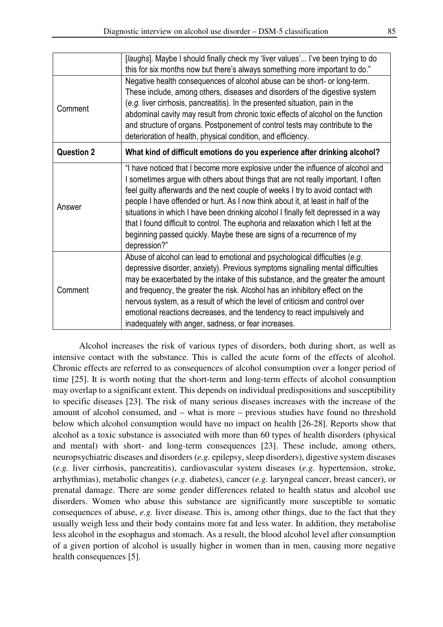|                   | [laughs]. Maybe I should finally check my 'liver values' I've been trying to do<br>this for six months now but there's always something more important to do."                                                                                                                                                                                                                                                                                                                                                                                                                                                   |
|-------------------|------------------------------------------------------------------------------------------------------------------------------------------------------------------------------------------------------------------------------------------------------------------------------------------------------------------------------------------------------------------------------------------------------------------------------------------------------------------------------------------------------------------------------------------------------------------------------------------------------------------|
| Comment           | Negative health consequences of alcohol abuse can be short- or long-term.<br>These include, among others, diseases and disorders of the digestive system<br>(e.g. liver cirrhosis, pancreatitis). In the presented situation, pain in the<br>abdominal cavity may result from chronic toxic effects of alcohol on the function<br>and structure of organs. Postponement of control tests may contribute to the<br>deterioration of health, physical condition, and efficiency.                                                                                                                                   |
| <b>Question 2</b> | What kind of difficult emotions do you experience after drinking alcohol?                                                                                                                                                                                                                                                                                                                                                                                                                                                                                                                                        |
| Answer            | "I have noticed that I become more explosive under the influence of alcohol and<br>I sometimes argue with others about things that are not really important. I often<br>feel guilty afterwards and the next couple of weeks I try to avoid contact with<br>people I have offended or hurt. As I now think about it, at least in half of the<br>situations in which I have been drinking alcohol I finally felt depressed in a way<br>that I found difficult to control. The euphoria and relaxation which I felt at the<br>beginning passed quickly. Maybe these are signs of a recurrence of my<br>depression?" |
| Comment           | Abuse of alcohol can lead to emotional and psychological difficulties (e.g.<br>depressive disorder, anxiety). Previous symptoms signalling mental difficulties<br>may be exacerbated by the intake of this substance, and the greater the amount<br>and frequency, the greater the risk. Alcohol has an inhibitory effect on the<br>nervous system, as a result of which the level of criticism and control over<br>emotional reactions decreases, and the tendency to react impulsively and<br>inadequately with anger, sadness, or fear increases.                                                             |

Alcohol increases the risk of various types of disorders, both during short, as well as intensive contact with the substance. This is called the acute form of the effects of alcohol. Chronic effects are referred to as consequences of alcohol consumption over a longer period of time [25]. It is worth noting that the short-term and long-term effects of alcohol consumption may overlap to a significant extent. This depends on individual predispositions and susceptibility to specific diseases [23]. The risk of many serious diseases increases with the increase of the amount of alcohol consumed, and – what is more – previous studies have found no threshold below which alcohol consumption would have no impact on health [26-28]. Reports show that alcohol as a toxic substance is associated with more than 60 types of health disorders (physical and mental) with short- and long-term consequences [23]. These include, among others, neuropsychiatric diseases and disorders (*e.g.* epilepsy, sleep disorders), digestive system diseases (*e.g.* liver cirrhosis, pancreatitis), cardiovascular system diseases (*e.g.* hypertension, stroke, arrhythmias), metabolic changes (*e.g.* diabetes), cancer (*e.g.* laryngeal cancer, breast cancer), or prenatal damage. There are some gender differences related to health status and alcohol use disorders. Women who abuse this substance are significantly more susceptible to somatic consequences of abuse, *e.g.* liver disease. This is, among other things, due to the fact that they usually weigh less and their body contains more fat and less water. In addition, they metabolise less alcohol in the esophagus and stomach. As a result, the blood alcohol level after consumption of a given portion of alcohol is usually higher in women than in men, causing more negative health consequences [5].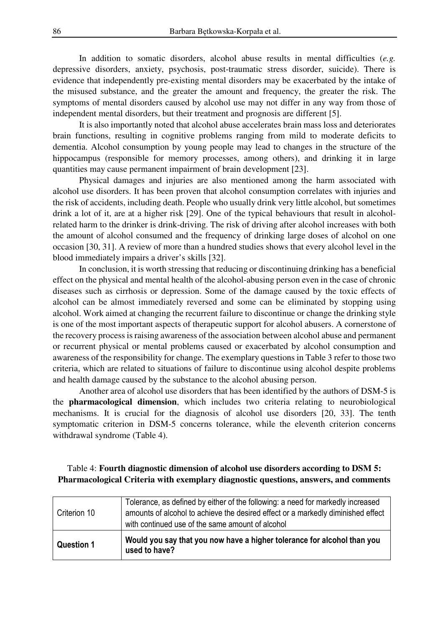In addition to somatic disorders, alcohol abuse results in mental difficulties (*e.g.* depressive disorders, anxiety, psychosis, post-traumatic stress disorder, suicide). There is evidence that independently pre-existing mental disorders may be exacerbated by the intake of the misused substance, and the greater the amount and frequency, the greater the risk. The symptoms of mental disorders caused by alcohol use may not differ in any way from those of independent mental disorders, but their treatment and prognosis are different [5].

It is also importantly noted that alcohol abuse accelerates brain mass loss and deteriorates brain functions, resulting in cognitive problems ranging from mild to moderate deficits to dementia. Alcohol consumption by young people may lead to changes in the structure of the hippocampus (responsible for memory processes, among others), and drinking it in large quantities may cause permanent impairment of brain development [23].

Physical damages and injuries are also mentioned among the harm associated with alcohol use disorders. It has been proven that alcohol consumption correlates with injuries and the risk of accidents, including death. People who usually drink very little alcohol, but sometimes drink a lot of it, are at a higher risk [29]. One of the typical behaviours that result in alcoholrelated harm to the drinker is drink-driving. The risk of driving after alcohol increases with both the amount of alcohol consumed and the frequency of drinking large doses of alcohol on one occasion [30, 31]. A review of more than a hundred studies shows that every alcohol level in the blood immediately impairs a driver's skills [32].

In conclusion, it is worth stressing that reducing or discontinuing drinking has a beneficial effect on the physical and mental health of the alcohol-abusing person even in the case of chronic diseases such as cirrhosis or depression. Some of the damage caused by the toxic effects of alcohol can be almost immediately reversed and some can be eliminated by stopping using alcohol. Work aimed at changing the recurrent failure to discontinue or change the drinking style is one of the most important aspects of therapeutic support for alcohol abusers. A cornerstone of the recovery process is raising awareness of the association between alcohol abuse and permanent or recurrent physical or mental problems caused or exacerbated by alcohol consumption and awareness of the responsibility for change. The exemplary questions in Table 3 refer to those two criteria, which are related to situations of failure to discontinue using alcohol despite problems and health damage caused by the substance to the alcohol abusing person.

Another area of alcohol use disorders that has been identified by the authors of DSM-5 is the **pharmacological dimension**, which includes two criteria relating to neurobiological mechanisms. It is crucial for the diagnosis of alcohol use disorders [20, 33]. The tenth symptomatic criterion in DSM-5 concerns tolerance, while the eleventh criterion concerns withdrawal syndrome (Table 4).

### Table 4: **Fourth diagnostic dimension of alcohol use disorders according to DSM 5: Pharmacological Criteria with exemplary diagnostic questions, answers, and comments**

| Criterion 10      | Tolerance, as defined by either of the following: a need for markedly increased<br>amounts of alcohol to achieve the desired effect or a markedly diminished effect<br>with continued use of the same amount of alcohol |
|-------------------|-------------------------------------------------------------------------------------------------------------------------------------------------------------------------------------------------------------------------|
| <b>Question 1</b> | Would you say that you now have a higher tolerance for alcohol than you<br>used to have?                                                                                                                                |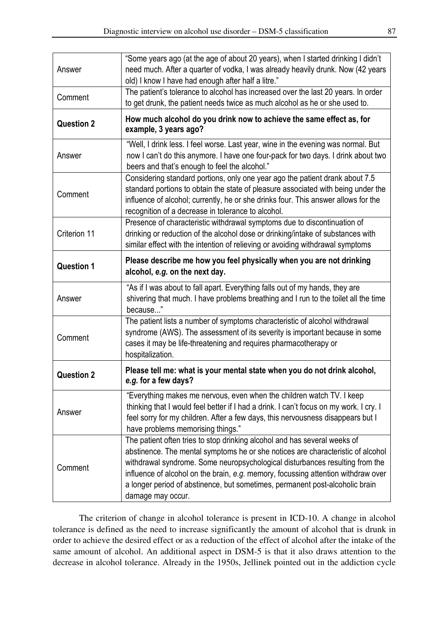| Answer            | "Some years ago (at the age of about 20 years), when I started drinking I didn't<br>need much. After a quarter of vodka, I was already heavily drunk. Now (42 years<br>old) I know I have had enough after half a litre."                                                                                                                                                                                                              |
|-------------------|----------------------------------------------------------------------------------------------------------------------------------------------------------------------------------------------------------------------------------------------------------------------------------------------------------------------------------------------------------------------------------------------------------------------------------------|
| Comment           | The patient's tolerance to alcohol has increased over the last 20 years. In order<br>to get drunk, the patient needs twice as much alcohol as he or she used to.                                                                                                                                                                                                                                                                       |
| <b>Question 2</b> | How much alcohol do you drink now to achieve the same effect as, for<br>example, 3 years ago?                                                                                                                                                                                                                                                                                                                                          |
| Answer            | "Well, I drink less. I feel worse. Last year, wine in the evening was normal. But<br>now I can't do this anymore. I have one four-pack for two days. I drink about two<br>beers and that's enough to feel the alcohol."                                                                                                                                                                                                                |
| Comment           | Considering standard portions, only one year ago the patient drank about 7.5<br>standard portions to obtain the state of pleasure associated with being under the<br>influence of alcohol; currently, he or she drinks four. This answer allows for the<br>recognition of a decrease in tolerance to alcohol.                                                                                                                          |
| Criterion 11      | Presence of characteristic withdrawal symptoms due to discontinuation of<br>drinking or reduction of the alcohol dose or drinking/intake of substances with<br>similar effect with the intention of relieving or avoiding withdrawal symptoms                                                                                                                                                                                          |
| <b>Question 1</b> | Please describe me how you feel physically when you are not drinking<br>alcohol, e.g. on the next day.                                                                                                                                                                                                                                                                                                                                 |
| Answer            | "As if I was about to fall apart. Everything falls out of my hands, they are<br>shivering that much. I have problems breathing and I run to the toilet all the time<br>because"                                                                                                                                                                                                                                                        |
| Comment           | The patient lists a number of symptoms characteristic of alcohol withdrawal<br>syndrome (AWS). The assessment of its severity is important because in some<br>cases it may be life-threatening and requires pharmacotherapy or<br>hospitalization.                                                                                                                                                                                     |
| <b>Question 2</b> | Please tell me: what is your mental state when you do not drink alcohol,<br>e.g. for a few days?                                                                                                                                                                                                                                                                                                                                       |
| Answer            | "Everything makes me nervous, even when the children watch TV. I keep<br>thinking that I would feel better if I had a drink. I can't focus on my work. I cry. I<br>feel sorry for my children. After a few days, this nervousness disappears but I<br>have problems memorising things."                                                                                                                                                |
| Comment           | The patient often tries to stop drinking alcohol and has several weeks of<br>abstinence. The mental symptoms he or she notices are characteristic of alcohol<br>withdrawal syndrome. Some neuropsychological disturbances resulting from the<br>influence of alcohol on the brain, e.g. memory, focussing attention withdraw over<br>a longer period of abstinence, but sometimes, permanent post-alcoholic brain<br>damage may occur. |

The criterion of change in alcohol tolerance is present in ICD-10. A change in alcohol tolerance is defined as the need to increase significantly the amount of alcohol that is drunk in order to achieve the desired effect or as a reduction of the effect of alcohol after the intake of the same amount of alcohol. An additional aspect in DSM-5 is that it also draws attention to the decrease in alcohol tolerance. Already in the 1950s, Jellinek pointed out in the addiction cycle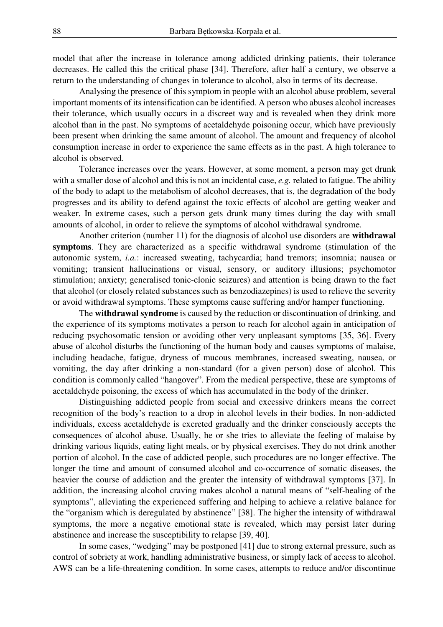model that after the increase in tolerance among addicted drinking patients, their tolerance decreases. He called this the critical phase [34]. Therefore, after half a century, we observe a return to the understanding of changes in tolerance to alcohol, also in terms of its decrease.

Analysing the presence of this symptom in people with an alcohol abuse problem, several important moments of its intensification can be identified. A person who abuses alcohol increases their tolerance, which usually occurs in a discreet way and is revealed when they drink more alcohol than in the past. No symptoms of acetaldehyde poisoning occur, which have previously been present when drinking the same amount of alcohol. The amount and frequency of alcohol consumption increase in order to experience the same effects as in the past. A high tolerance to alcohol is observed.

Tolerance increases over the years. However, at some moment, a person may get drunk with a smaller dose of alcohol and this is not an incidental case, *e.g.* related to fatigue. The ability of the body to adapt to the metabolism of alcohol decreases, that is, the degradation of the body progresses and its ability to defend against the toxic effects of alcohol are getting weaker and weaker. In extreme cases, such a person gets drunk many times during the day with small amounts of alcohol, in order to relieve the symptoms of alcohol withdrawal syndrome.

Another criterion (number 11) for the diagnosis of alcohol use disorders are **withdrawal symptoms**. They are characterized as a specific withdrawal syndrome (stimulation of the autonomic system, *i.a.*: increased sweating, tachycardia; hand tremors; insomnia; nausea or vomiting; transient hallucinations or visual, sensory, or auditory illusions; psychomotor stimulation; anxiety; generalised tonic-clonic seizures) and attention is being drawn to the fact that alcohol (or closely related substances such as benzodiazepines) is used to relieve the severity or avoid withdrawal symptoms. These symptoms cause suffering and/or hamper functioning.

The **withdrawal syndrome** is caused by the reduction or discontinuation of drinking, and the experience of its symptoms motivates a person to reach for alcohol again in anticipation of reducing psychosomatic tension or avoiding other very unpleasant symptoms [35, 36]. Every abuse of alcohol disturbs the functioning of the human body and causes symptoms of malaise, including headache, fatigue, dryness of mucous membranes, increased sweating, nausea, or vomiting, the day after drinking a non-standard (for a given person) dose of alcohol. This condition is commonly called "hangover". From the medical perspective, these are symptoms of acetaldehyde poisoning, the excess of which has accumulated in the body of the drinker.

Distinguishing addicted people from social and excessive drinkers means the correct recognition of the body's reaction to a drop in alcohol levels in their bodies. In non-addicted individuals, excess acetaldehyde is excreted gradually and the drinker consciously accepts the consequences of alcohol abuse. Usually, he or she tries to alleviate the feeling of malaise by drinking various liquids, eating light meals, or by physical exercises. They do not drink another portion of alcohol. In the case of addicted people, such procedures are no longer effective. The longer the time and amount of consumed alcohol and co-occurrence of somatic diseases, the heavier the course of addiction and the greater the intensity of withdrawal symptoms [37]. In addition, the increasing alcohol craving makes alcohol a natural means of "self-healing of the symptoms", alleviating the experienced suffering and helping to achieve a relative balance for the "organism which is deregulated by abstinence" [38]. The higher the intensity of withdrawal symptoms, the more a negative emotional state is revealed, which may persist later during abstinence and increase the susceptibility to relapse [39, 40].

In some cases, "wedging" may be postponed [41] due to strong external pressure, such as control of sobriety at work, handling administrative business, or simply lack of access to alcohol. AWS can be a life-threatening condition. In some cases, attempts to reduce and/or discontinue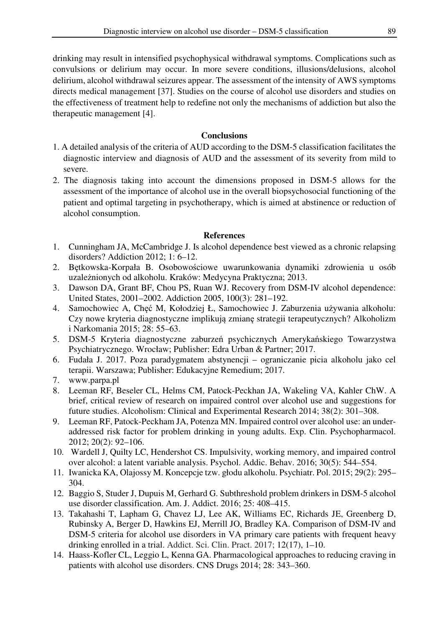drinking may result in intensified psychophysical withdrawal symptoms. Complications such as convulsions or delirium may occur. In more severe conditions, illusions/delusions, alcohol delirium, alcohol withdrawal seizures appear. The assessment of the intensity of AWS symptoms directs medical management [37]. Studies on the course of alcohol use disorders and studies on the effectiveness of treatment help to redefine not only the mechanisms of addiction but also the therapeutic management [4].

### **Conclusions**

- 1. A detailed analysis of the criteria of AUD according to the DSM-5 classification facilitates the diagnostic interview and diagnosis of AUD and the assessment of its severity from mild to severe.
- 2. The diagnosis taking into account the dimensions proposed in DSM-5 allows for the assessment of the importance of alcohol use in the overall biopsychosocial functioning of the patient and optimal targeting in psychotherapy, which is aimed at abstinence or reduction of alcohol consumption.

#### **References**

- 1. Cunningham JA, McCambridge J. Is alcohol dependence best viewed as a chronic relapsing disorders? Addiction 2012; 1: 6–12.
- 2. Bętkowska-Korpała B. Osobowościowe uwarunkowania dynamiki zdrowienia u osób uzależnionych od alkoholu. Kraków: Medycyna Praktyczna; 2013.
- 3. Dawson DA, Grant BF, Chou PS, Ruan WJ. Recovery from DSM-IV alcohol dependence: United States, 2001–2002. Addiction 2005, 100(3): 281–192.
- 4. Samochowiec A, Chęć M, Kołodziej Ł, Samochowiec J. Zaburzenia używania alkoholu: Czy nowe kryteria diagnostyczne implikują zmianę strategii terapeutycznych? Alkoholizm i Narkomania 2015; 28: 55–63.
- 5. DSM-5 Kryteria diagnostyczne zaburzeń psychicznych Amerykańskiego Towarzystwa Psychiatrycznego. Wrocław; Publisher: Edra Urban & Partner; 2017.
- 6. Fudała J. 2017. Poza paradygmatem abstynencji ograniczanie picia alkoholu jako cel terapii. Warszawa; Publisher: Edukacyjne Remedium; 2017.
- 7. www.parpa.pl
- 8. Leeman RF, Beseler CL, Helms CM, Patock-Peckhan JA, Wakeling VA, Kahler ChW. A brief, critical review of research on impaired control over alcohol use and suggestions for future studies. Alcoholism: Clinical and Experimental Research 2014; 38(2): 301–308.
- 9. Leeman RF, Patock-Peckham JA, Potenza MN. Impaired control over alcohol use: an underaddressed risk factor for problem drinking in young adults. Exp. Clin. Psychopharmacol. 2012; 20(2): 92–106.
- 10. Wardell J, Quilty LC, Hendershot CS. Impulsivity, working memory, and impaired control over alcohol: a latent variable analysis. Psychol. Addic. Behav. 2016; 30(5): 544–554.
- 11. Iwanicka KA, Olajossy M. Koncepcje tzw. głodu alkoholu. Psychiatr. Pol. 2015; 29(2): 295– 304.
- 12. Baggio S, Studer J, Dupuis M, Gerhard G. Subthreshold problem drinkers in DSM-5 alcohol use disorder classification. Am. J. Addict. 2016; 25: 408–415.
- 13. Takahashi T, Lapham G, Chavez LJ, Lee AK, Williams EC, Richards JE, Greenberg D, Rubinsky A, Berger D, Hawkins EJ, Merrill JO, Bradley KA. Comparison of DSM-IV and DSM-5 criteria for alcohol use disorders in VA primary care patients with frequent heavy drinking enrolled in a trial. Addict. Sci. Clin. Pract. 2017; 12(17), 1–10.
- 14. Haass-Kofler CL, Leggio L, Kenna GA. Pharmacological approaches to reducing craving in patients with alcohol use disorders. CNS Drugs 2014; 28: 343–360.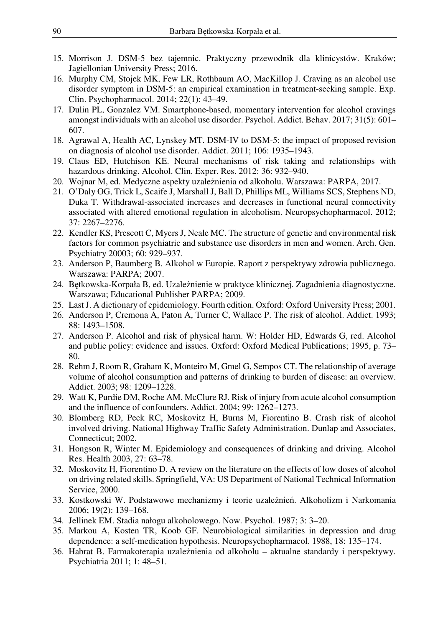- 15. Morrison J. DSM-5 bez tajemnic. Praktyczny przewodnik dla klinicystów. Kraków; Jagiellonian University Press; 2016.
- 16. Murphy CM, Stojek MK, Few LR, Rothbaum AO, MacKillop J. Craving as an alcohol use disorder symptom in DSM-5: an empirical examination in treatment-seeking sample. Exp. Clin. Psychopharmacol. 2014; 22(1): 43–49.
- 17. Dulin PL, Gonzalez VM. Smartphone-based, momentary intervention for alcohol cravings amongst individuals with an alcohol use disorder. Psychol. Addict. Behav. 2017; 31(5): 601– 607.
- 18. Agrawal A, Health AC, Lynskey MT. DSM-IV to DSM-5: the impact of proposed revision on diagnosis of alcohol use disorder. Addict. 2011; 106: 1935–1943.
- 19. Claus ED, Hutchison KE. Neural mechanisms of risk taking and relationships with hazardous drinking. Alcohol. Clin. Exper. Res. 2012: 36: 932–940.
- 20. Wojnar M, ed. Medyczne aspekty uzależnienia od alkoholu. Warszawa: PARPA, 2017.
- 21. O'Daly OG, Trick L, Scaife J, Marshall J, Ball D, Phillips ML, Williams SCS, Stephens ND, Duka T. Withdrawal-associated increases and decreases in functional neural connectivity associated with altered emotional regulation in alcoholism. Neuropsychopharmacol. 2012; 37: 2267–2276.
- 22. Kendler KS, Prescott C, Myers J, Neale MC. The structure of genetic and environmental risk factors for common psychiatric and substance use disorders in men and women. Arch. Gen. Psychiatry 20003; 60: 929–937.
- 23. Anderson P, Baumberg B. Alkohol w Europie. Raport z perspektywy zdrowia publicznego. Warszawa: PARPA; 2007.
- 24. Bętkowska-Korpała B, ed. Uzależnienie w praktyce klinicznej. Zagadnienia diagnostyczne. Warszawa; Educational Publisher PARPA; 2009.
- 25. Last J. A dictionary of epidemiology. Fourth edition. Oxford: Oxford University Press; 2001.
- 26. Anderson P, Cremona A, Paton A, Turner C, Wallace P. The risk of alcohol. Addict. 1993; 88: 1493–1508.
- 27. Anderson P. Alcohol and risk of physical harm. W: Holder HD, Edwards G, red. Alcohol and public policy: evidence and issues. Oxford: Oxford Medical Publications; 1995, p. 73– 80.
- 28. Rehm J, Room R, Graham K, Monteiro M, Gmel G, Sempos CT. The relationship of average volume of alcohol consumption and patterns of drinking to burden of disease: an overview. Addict. 2003; 98: 1209–1228.
- 29. Watt K, Purdie DM, Roche AM, McClure RJ. Risk of injury from acute alcohol consumption and the influence of confounders. Addict. 2004; 99: 1262–1273.
- 30. Blomberg RD, Peck RC, Moskovitz H, Burns M, Fiorentino B. Crash risk of alcohol involved driving. National Highway Traffic Safety Administration. Dunlap and Associates, Connecticut; 2002.
- 31. Hongson R, Winter M. Epidemiology and consequences of drinking and driving. Alcohol Res. Health 2003, 27: 63–78.
- 32. Moskovitz H, Fiorentino D. A review on the literature on the effects of low doses of alcohol on driving related skills. Springfield, VA: US Department of National Technical Information Service, 2000.
- 33. Kostkowski W. Podstawowe mechanizmy i teorie uzależnień. Alkoholizm i Narkomania 2006; 19(2): 139–168.
- 34. Jellinek EM. Stadia nałogu alkoholowego. Now. Psychol. 1987; 3: 3–20.
- 35. Markou A, Kosten TR, Koob GF. Neurobiological similarities in depression and drug dependence: a self-medication hypothesis. Neuropsychopharmacol. 1988, 18: 135–174.
- 36. Habrat B. Farmakoterapia uzależnienia od alkoholu aktualne standardy i perspektywy. Psychiatria 2011; 1: 48–51.